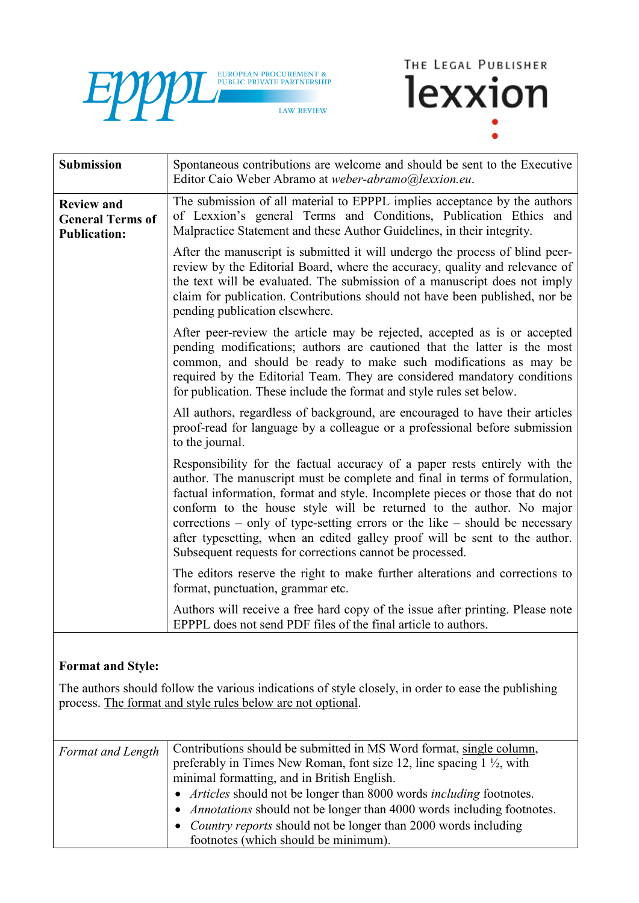



| <b>Submission</b>                                                   | Spontaneous contributions are welcome and should be sent to the Executive<br>Editor Caio Weber Abramo at weber-abramo@lexxion.eu.                                                                                                                                                                                                                                                                                                                                                                                                         |
|---------------------------------------------------------------------|-------------------------------------------------------------------------------------------------------------------------------------------------------------------------------------------------------------------------------------------------------------------------------------------------------------------------------------------------------------------------------------------------------------------------------------------------------------------------------------------------------------------------------------------|
| <b>Review and</b><br><b>General Terms of</b><br><b>Publication:</b> | The submission of all material to EPPPL implies acceptance by the authors<br>of Lexxion's general Terms and Conditions, Publication Ethics and<br>Malpractice Statement and these Author Guidelines, in their integrity.                                                                                                                                                                                                                                                                                                                  |
|                                                                     | After the manuscript is submitted it will undergo the process of blind peer-<br>review by the Editorial Board, where the accuracy, quality and relevance of<br>the text will be evaluated. The submission of a manuscript does not imply<br>claim for publication. Contributions should not have been published, nor be<br>pending publication elsewhere.                                                                                                                                                                                 |
|                                                                     | After peer-review the article may be rejected, accepted as is or accepted<br>pending modifications; authors are cautioned that the latter is the most<br>common, and should be ready to make such modifications as may be<br>required by the Editorial Team. They are considered mandatory conditions<br>for publication. These include the format and style rules set below.                                                                                                                                                             |
|                                                                     | All authors, regardless of background, are encouraged to have their articles<br>proof-read for language by a colleague or a professional before submission<br>to the journal.                                                                                                                                                                                                                                                                                                                                                             |
|                                                                     | Responsibility for the factual accuracy of a paper rests entirely with the<br>author. The manuscript must be complete and final in terms of formulation,<br>factual information, format and style. Incomplete pieces or those that do not<br>conform to the house style will be returned to the author. No major<br>corrections – only of type-setting errors or the like – should be necessary<br>after typesetting, when an edited galley proof will be sent to the author.<br>Subsequent requests for corrections cannot be processed. |
|                                                                     | The editors reserve the right to make further alterations and corrections to<br>format, punctuation, grammar etc.                                                                                                                                                                                                                                                                                                                                                                                                                         |
|                                                                     | Authors will receive a free hard copy of the issue after printing. Please note<br>EPPPL does not send PDF files of the final article to authors.                                                                                                                                                                                                                                                                                                                                                                                          |

## **Format and Style:**

The authors should follow the various indications of style closely, in order to ease the publishing process. The format and style rules below are not optional.

| Format and Length | Contributions should be submitted in MS Word format, single column,              |
|-------------------|----------------------------------------------------------------------------------|
|                   | preferably in Times New Roman, font size 12, line spacing $1 \frac{1}{2}$ , with |
|                   | minimal formatting, and in British English.                                      |
|                   | • Articles should not be longer than 8000 words including footnotes.             |
|                   | • <i>Annotations</i> should not be longer than 4000 words including footnotes.   |
|                   | • <i>Country reports</i> should not be longer than 2000 words including          |
|                   | footnotes (which should be minimum).                                             |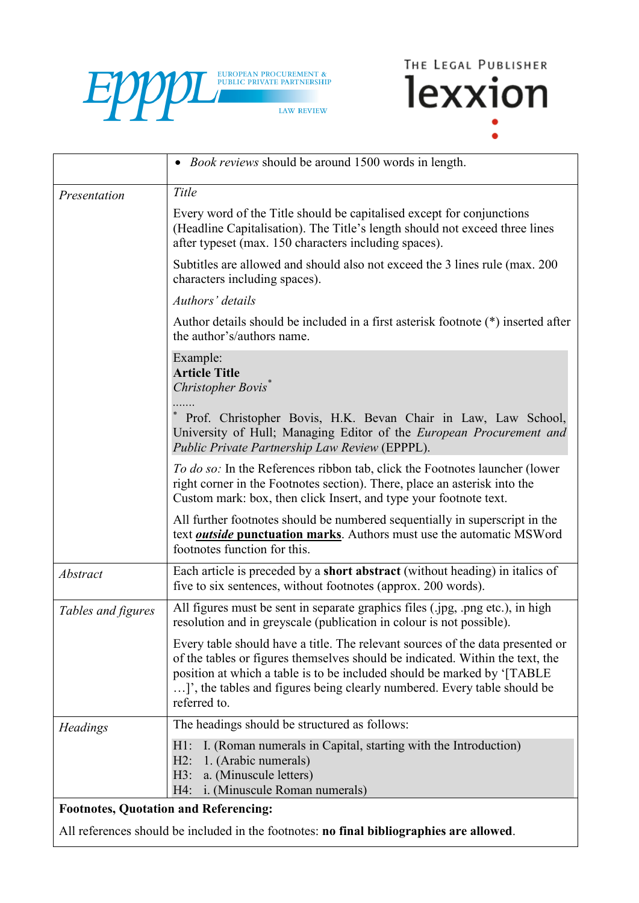



|                    | • <i>Book reviews</i> should be around 1500 words in length.                                                                                                                                                                                                                                                                           |
|--------------------|----------------------------------------------------------------------------------------------------------------------------------------------------------------------------------------------------------------------------------------------------------------------------------------------------------------------------------------|
| Presentation       | Title                                                                                                                                                                                                                                                                                                                                  |
|                    | Every word of the Title should be capitalised except for conjunctions<br>(Headline Capitalisation). The Title's length should not exceed three lines<br>after typeset (max. 150 characters including spaces).                                                                                                                          |
|                    | Subtitles are allowed and should also not exceed the 3 lines rule (max. 200)<br>characters including spaces).                                                                                                                                                                                                                          |
|                    | Authors' details                                                                                                                                                                                                                                                                                                                       |
|                    | Author details should be included in a first asterisk footnote (*) inserted after<br>the author's/authors name.                                                                                                                                                                                                                        |
|                    | Example:<br><b>Article Title</b><br>Christopher Bovis <sup>*</sup>                                                                                                                                                                                                                                                                     |
|                    | Prof. Christopher Bovis, H.K. Bevan Chair in Law, Law School,<br>University of Hull; Managing Editor of the European Procurement and<br>Public Private Partnership Law Review (EPPPL).                                                                                                                                                 |
|                    | To do so: In the References ribbon tab, click the Footnotes launcher (lower<br>right corner in the Footnotes section). There, place an asterisk into the<br>Custom mark: box, then click Insert, and type your footnote text.                                                                                                          |
|                    | All further footnotes should be numbered sequentially in superscript in the<br>text <b><i>outside</i></b> punctuation marks. Authors must use the automatic MSWord<br>footnotes function for this.                                                                                                                                     |
| <b>Abstract</b>    | Each article is preceded by a short abstract (without heading) in italics of<br>five to six sentences, without footnotes (approx. 200 words).                                                                                                                                                                                          |
| Tables and figures | All figures must be sent in separate graphics files (.jpg, .png etc.), in high<br>resolution and in greyscale (publication in colour is not possible).                                                                                                                                                                                 |
|                    | Every table should have a title. The relevant sources of the data presented or<br>of the tables or figures themselves should be indicated. Within the text, the<br>position at which a table is to be included should be marked by '[TABLE<br>]', the tables and figures being clearly numbered. Every table should be<br>referred to. |
| <b>Headings</b>    | The headings should be structured as follows:                                                                                                                                                                                                                                                                                          |
|                    | I. (Roman numerals in Capital, starting with the Introduction)<br>H1:<br>1. (Arabic numerals)<br>$H2$ :<br>a. (Minuscule letters)<br>H3:<br>i. (Minuscule Roman numerals)<br>H4:                                                                                                                                                       |

## **Footnotes, Quotation and Referencing:**

All references should be included in the footnotes: **no final bibliographies are allowed**.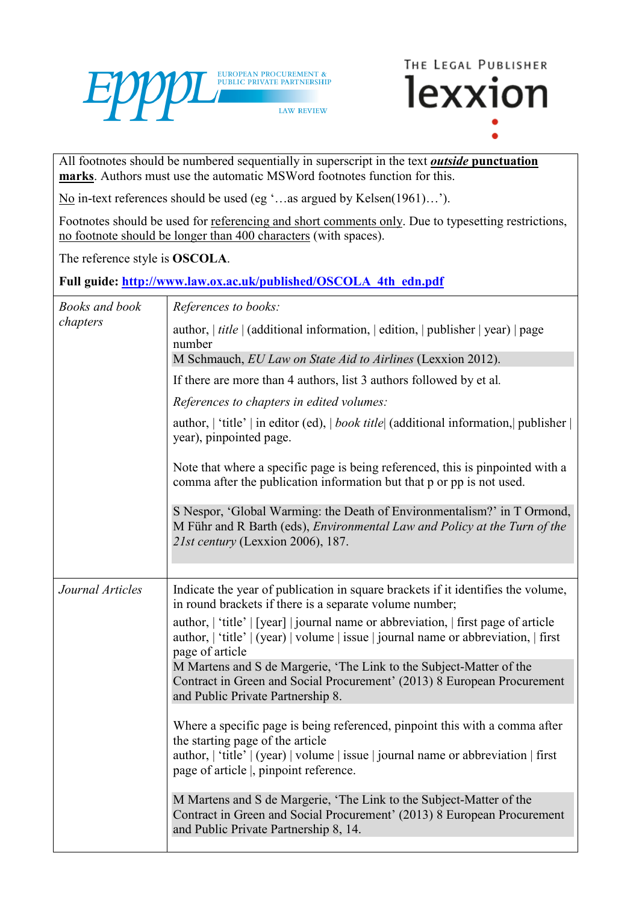



All footnotes should be numbered sequentially in superscript in the text *outside* **punctuation marks**. Authors must use the automatic MSWord footnotes function for this.

No in-text references should be used (eg '…as argued by Kelsen(1961)…').

Footnotes should be used for referencing and short comments only. Due to typesetting restrictions, no footnote should be longer than 400 characters (with spaces).

The reference style is **OSCOLA**.

**Full guide: [http://www.law.ox.ac.uk/published/OSCOLA\\_4th\\_edn.pdf](http://www.law.ox.ac.uk/published/OSCOLA_4th_edn.pdf)**

| <b>Books</b> and book | References to books:                                                                                                                                                                         |
|-----------------------|----------------------------------------------------------------------------------------------------------------------------------------------------------------------------------------------|
| chapters              | author, $ $ <i>title</i> $ $ (additional information, $ $ edition, $ $ publisher $ $ year) $ $ page<br>number<br>M Schmauch, EU Law on State Aid to Airlines (Lexxion 2012).                 |
|                       |                                                                                                                                                                                              |
|                       | If there are more than 4 authors, list 3 authors followed by et al.                                                                                                                          |
|                       | References to chapters in edited volumes:                                                                                                                                                    |
|                       | author,   'title'   in editor (ed),   book title (additional information,   publisher  <br>year), pinpointed page.                                                                           |
|                       | Note that where a specific page is being referenced, this is pinpointed with a<br>comma after the publication information but that p or pp is not used.                                      |
|                       | S Nespor, 'Global Warming: the Death of Environmentalism?' in T Ormond,<br>M Führ and R Barth (eds), Environmental Law and Policy at the Turn of the<br>21st century (Lexxion 2006), 187.    |
|                       |                                                                                                                                                                                              |
| Journal Articles      | Indicate the year of publication in square brackets if it identifies the volume,<br>in round brackets if there is a separate volume number;                                                  |
|                       | author,   'title'   [year]   journal name or abbreviation,   first page of article<br>author,   'title'   (year)   volume   issue   journal name or abbreviation,   first<br>page of article |
|                       | M Martens and S de Margerie, 'The Link to the Subject-Matter of the<br>Contract in Green and Social Procurement' (2013) 8 European Procurement<br>and Public Private Partnership 8.          |
|                       | Where a specific page is being referenced, pinpoint this with a comma after<br>the starting page of the article                                                                              |
|                       | author,   'title'   (year)   volume   issue   journal name or abbreviation   first<br>page of article, pinpoint reference.                                                                   |
|                       | M Martens and S de Margerie, 'The Link to the Subject-Matter of the<br>Contract in Green and Social Procurement' (2013) 8 European Procurement<br>and Public Private Partnership 8, 14.      |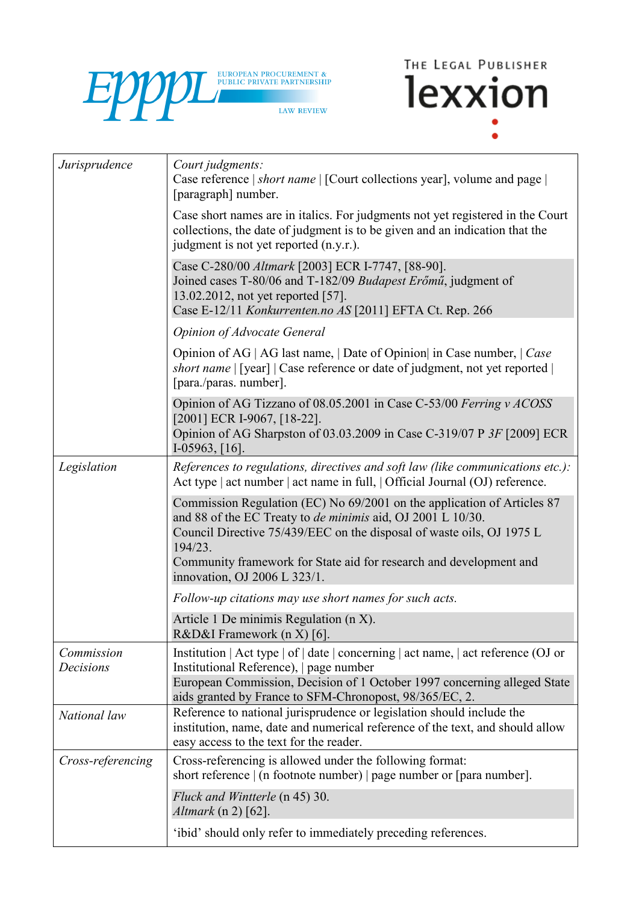



| Jurisprudence           | Court judgments:<br>Case reference   short name   [Court collections year], volume and page  <br>[paragraph] number.                                                                                                                                                                                                                    |
|-------------------------|-----------------------------------------------------------------------------------------------------------------------------------------------------------------------------------------------------------------------------------------------------------------------------------------------------------------------------------------|
|                         | Case short names are in italics. For judgments not yet registered in the Court<br>collections, the date of judgment is to be given and an indication that the<br>judgment is not yet reported (n.y.r.).                                                                                                                                 |
|                         | Case C-280/00 Altmark [2003] ECR I-7747, [88-90].<br>Joined cases T-80/06 and T-182/09 Budapest Erőmű, judgment of<br>13.02.2012, not yet reported [57].<br>Case E-12/11 Konkurrenten.no AS [2011] EFTA Ct. Rep. 266                                                                                                                    |
|                         | <b>Opinion of Advocate General</b>                                                                                                                                                                                                                                                                                                      |
|                         | Opinion of AG   AG last name,   Date of Opinion  in Case number,   Case<br><i>short name</i>   [year]   Case reference or date of judgment, not yet reported  <br>[para./paras. number].                                                                                                                                                |
|                         | Opinion of AG Tizzano of 08.05.2001 in Case C-53/00 Ferring v ACOSS<br>[2001] ECR I-9067, [18-22].<br>Opinion of AG Sharpston of 03.03.2009 in Case C-319/07 P 3F [2009] ECR<br>I-05963, $[16]$ .                                                                                                                                       |
| Legislation             | References to regulations, directives and soft law (like communications etc.):<br>Act type   act number   act name in full,   Official Journal (OJ) reference.                                                                                                                                                                          |
|                         | Commission Regulation (EC) No 69/2001 on the application of Articles 87<br>and 88 of the EC Treaty to <i>de minimis</i> aid, OJ 2001 L 10/30.<br>Council Directive 75/439/EEC on the disposal of waste oils, OJ 1975 L<br>194/23.<br>Community framework for State aid for research and development and<br>innovation, OJ 2006 L 323/1. |
|                         | Follow-up citations may use short names for such acts.                                                                                                                                                                                                                                                                                  |
|                         | Article 1 De minimis Regulation ( $n X$ ).<br>R&D&I Framework (n X) [6].                                                                                                                                                                                                                                                                |
| Commission<br>Decisions | Institution   Act type   of   date   concerning   act name,   act reference (OJ or<br>Institutional Reference), page number<br>European Commission, Decision of 1 October 1997 concerning alleged State<br>aids granted by France to SFM-Chronopost, 98/365/EC, 2.                                                                      |
| National law            | Reference to national jurisprudence or legislation should include the<br>institution, name, date and numerical reference of the text, and should allow<br>easy access to the text for the reader.                                                                                                                                       |
| Cross-referencing       | Cross-referencing is allowed under the following format:<br>short reference $\vert$ (n footnote number) $\vert$ page number or $\vert$ para number].                                                                                                                                                                                    |
|                         | Fluck and Wintterle (n 45) 30.<br><i>Altmark</i> (n 2) [62].                                                                                                                                                                                                                                                                            |
|                         | 'ibid' should only refer to immediately preceding references.                                                                                                                                                                                                                                                                           |